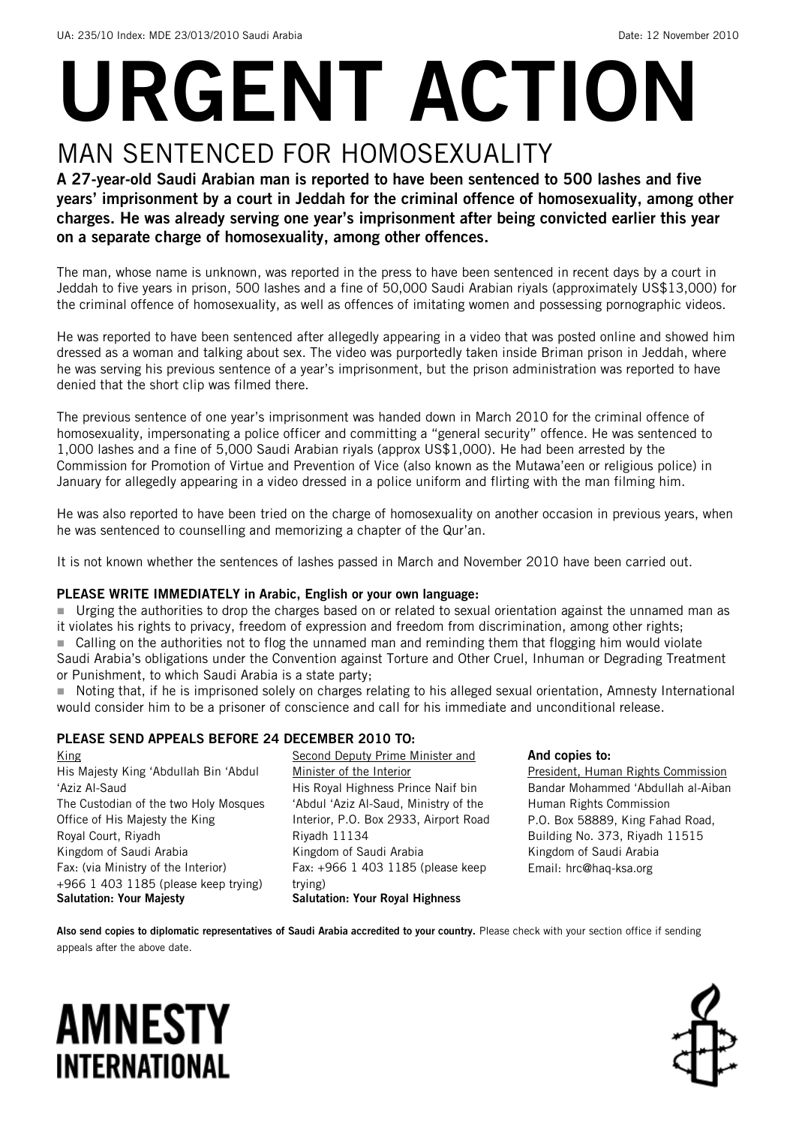# URGENT ACTION MAN SENTENCED FOR HOMOSEXUALITY

#### A 27-year-old Saudi Arabian man is reported to have been sentenced to 500 lashes and five years' imprisonment by a court in Jeddah for the criminal offence of homosexuality, among other charges. He was already serving one year's imprisonment after being convicted earlier this year on a separate charge of homosexuality, among other offences.

The man, whose name is unknown, was reported in the press to have been sentenced in recent days by a court in Jeddah to five years in prison, 500 lashes and a fine of 50,000 Saudi Arabian riyals (approximately US\$13,000) for the criminal offence of homosexuality, as well as offences of imitating women and possessing pornographic videos.

He was reported to have been sentenced after allegedly appearing in a video that was posted online and showed him dressed as a woman and talking about sex. The video was purportedly taken inside Briman prison in Jeddah, where he was serving his previous sentence of a year's imprisonment, but the prison administration was reported to have denied that the short clip was filmed there.

The previous sentence of one year's imprisonment was handed down in March 2010 for the criminal offence of homosexuality, impersonating a police officer and committing a "general security" offence. He was sentenced to 1,000 lashes and a fine of 5,000 Saudi Arabian riyals (approx US\$1,000). He had been arrested by the Commission for Promotion of Virtue and Prevention of Vice (also known as the Mutawa'een or religious police) in January for allegedly appearing in a video dressed in a police uniform and flirting with the man filming him.

He was also reported to have been tried on the charge of homosexuality on another occasion in previous years, when he was sentenced to counselling and memorizing a chapter of the Qur'an.

It is not known whether the sentences of lashes passed in March and November 2010 have been carried out.

#### PLEASE WRITE IMMEDIATELY in Arabic, English or your own language:

 Urging the authorities to drop the charges based on or related to sexual orientation against the unnamed man as it violates his rights to privacy, freedom of expression and freedom from discrimination, among other rights; ■ Calling on the authorities not to flog the unnamed man and reminding them that flogging him would violate Saudi Arabia's obligations under the Convention against Torture and Other Cruel, Inhuman or Degrading Treatment or Punishment, to which Saudi Arabia is a state party;

 Noting that, if he is imprisoned solely on charges relating to his alleged sexual orientation, Amnesty International would consider him to be a prisoner of conscience and call for his immediate and unconditional release.

#### PLEASE SEND APPEALS BEFORE 24 DECEMBER 2010 TO:

King His Majesty King 'Abdullah Bin 'Abdul 'Aziz Al-Saud The Custodian of the two Holy Mosques Office of His Majesty the King Royal Court, Riyadh Kingdom of Saudi Arabia Fax: (via Ministry of the Interior) +966 1 403 1185 (please keep trying) Salutation: Your Majesty

Second Deputy Prime Minister and Minister of the Interior His Royal Highness Prince Naif bin 'Abdul 'Aziz Al-Saud, Ministry of the Interior, P.O. Box 2933, Airport Road Riyadh 11134 Kingdom of Saudi Arabia Fax: +966 1 403 1185 (please keep trying) Salutation: Your Royal Highness

#### And copies to:

President, Human Rights Commission Bandar Mohammed 'Abdullah al-Aiban Human Rights Commission P.O. Box 58889, King Fahad Road, Building No. 373, Riyadh 11515 Kingdom of Saudi Arabia Email: [hrc@haq-ksa.org](mailto:hrc@haq-ksa.org)

Also send copies to diplomatic representatives of Saudi Arabia accredited to your country. Please check with your section office if sending appeals after the above date.

### **AMNESTY INTERNATIONAL**